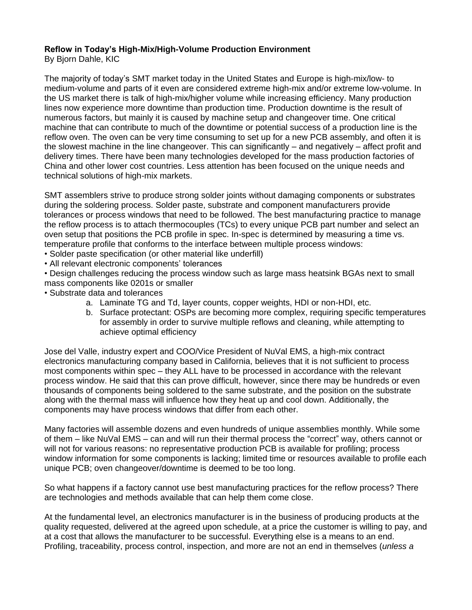## **Reflow in Today's High-Mix/High-Volume Production Environment**

By Bjorn Dahle, KIC

The majority of today's SMT market today in the United States and Europe is high-mix/low- to medium-volume and parts of it even are considered extreme high-mix and/or extreme low-volume. In the US market there is talk of high-mix/higher volume while increasing efficiency. Many production lines now experience more downtime than production time. Production downtime is the result of numerous factors, but mainly it is caused by machine setup and changeover time. One critical machine that can contribute to much of the downtime or potential success of a production line is the reflow oven. The oven can be very time consuming to set up for a new PCB assembly, and often it is the slowest machine in the line changeover. This can significantly – and negatively – affect profit and delivery times. There have been many technologies developed for the mass production factories of China and other lower cost countries. Less attention has been focused on the unique needs and technical solutions of high-mix markets.

SMT assemblers strive to produce strong solder joints without damaging components or substrates during the soldering process. Solder paste, substrate and component manufacturers provide tolerances or process windows that need to be followed. The best manufacturing practice to manage the reflow process is to attach thermocouples (TCs) to every unique PCB part number and select an oven setup that positions the PCB profile in spec. In-spec is determined by measuring a time vs. temperature profile that conforms to the interface between multiple process windows:

- Solder paste specification (or other material like underfill)
- All relevant electronic components' tolerances

• Design challenges reducing the process window such as large mass heatsink BGAs next to small mass components like 0201s or smaller

- Substrate data and tolerances
	- a. Laminate TG and Td, layer counts, copper weights, HDI or non-HDI, etc.
	- b. Surface protectant: OSPs are becoming more complex, requiring specific temperatures for assembly in order to survive multiple reflows and cleaning, while attempting to achieve optimal efficiency

Jose del Valle, industry expert and COO/Vice President of NuVal EMS, a high-mix contract electronics manufacturing company based in California, believes that it is not sufficient to process most components within spec – they ALL have to be processed in accordance with the relevant process window. He said that this can prove difficult, however, since there may be hundreds or even thousands of components being soldered to the same substrate, and the position on the substrate along with the thermal mass will influence how they heat up and cool down. Additionally, the components may have process windows that differ from each other.

Many factories will assemble dozens and even hundreds of unique assemblies monthly. While some of them – like NuVal EMS – can and will run their thermal process the "correct" way, others cannot or will not for various reasons: no representative production PCB is available for profiling; process window information for some components is lacking; limited time or resources available to profile each unique PCB; oven changeover/downtime is deemed to be too long.

So what happens if a factory cannot use best manufacturing practices for the reflow process? There are technologies and methods available that can help them come close.

At the fundamental level, an electronics manufacturer is in the business of producing products at the quality requested, delivered at the agreed upon schedule, at a price the customer is willing to pay, and at a cost that allows the manufacturer to be successful. Everything else is a means to an end. Profiling, traceability, process control, inspection, and more are not an end in themselves (*unless a*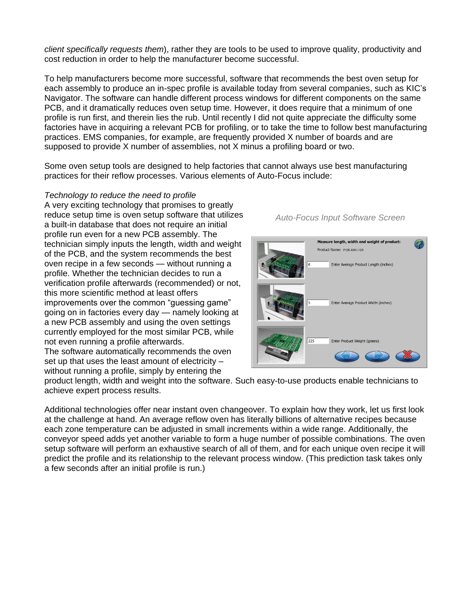*client specifically requests them*), rather they are tools to be used to improve quality, productivity and cost reduction in order to help the manufacturer become successful.

To help manufacturers become more successful, software that recommends the best oven setup for each assembly to produce an in-spec profile is available today from several companies, such as KIC's Navigator. The software can handle different process windows for different components on the same PCB, and it dramatically reduces oven setup time. However, it does require that a minimum of one profile is run first, and therein lies the rub. Until recently I did not quite appreciate the difficulty some factories have in acquiring a relevant PCB for profiling, or to take the time to follow best manufacturing practices. EMS companies, for example, are frequently provided X number of boards and are supposed to provide X number of assemblies, not X minus a profiling board or two.

Some oven setup tools are designed to help factories that cannot always use best manufacturing practices for their reflow processes. Various elements of Auto-Focus include:

*Technology to reduce the need to profile* A very exciting technology that promises to greatly reduce setup time is oven setup software that utilizes a built-in database that does not require an initial profile run even for a new PCB assembly. The technician simply inputs the length, width and weight of the PCB, and the system recommends the best oven recipe in a few seconds — without running a profile. Whether the technician decides to run a verification profile afterwards (recommended) or not, this more scientific method at least offers improvements over the common "guessing game" going on in factories every day — namely looking at a new PCB assembly and using the oven settings currently employed for the most similar PCB, while not even running a profile afterwards. The software automatically recommends the oven set up that uses the least amount of electricity – without running a profile, simply by entering the

*Auto-Focus Input Software Screen*



product length, width and weight into the software. Such easy-to-use products enable technicians to achieve expert process results.

Additional technologies offer near instant oven changeover. To explain how they work, let us first look at the challenge at hand. An average reflow oven has literally billions of alternative recipes because each zone temperature can be adjusted in small increments within a wide range. Additionally, the conveyor speed adds yet another variable to form a huge number of possible combinations. The oven setup software will perform an exhaustive search of all of them, and for each unique oven recipe it will predict the profile and its relationship to the relevant process window. (This prediction task takes only a few seconds after an initial profile is run.)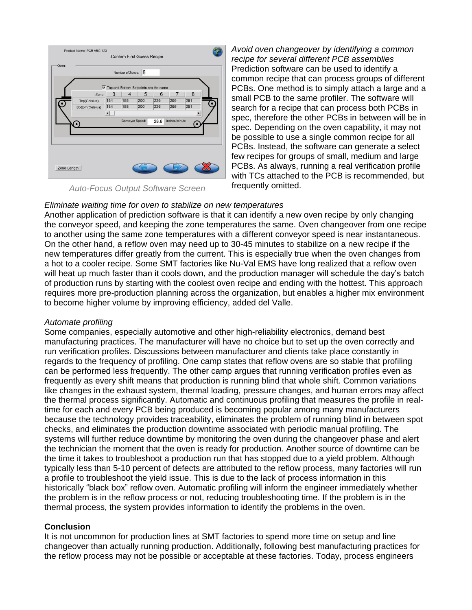|                 |     | Number of Zones: | 8<br>Top and Bottom Setpoints are the same |      |               |     |
|-----------------|-----|------------------|--------------------------------------------|------|---------------|-----|
| Zone            | 3   | 4                | 5                                          | 6    | 7             | 8   |
| Top(Celsius)    | 184 | 188              | 200                                        | 226  | 266           | 291 |
| Bottom(Celsius) | 184 | 188              | 200                                        | 226  | 266           | 291 |
|                 |     |                  |                                            |      |               |     |
|                 |     | Conveyor Speed:  |                                            | 28.6 | inches/minute |     |

*Auto-Focus Output Software Screen*

*Avoid oven changeover by identifying a common recipe for several different PCB assemblies* Prediction software can be used to identify a common recipe that can process groups of different PCBs. One method is to simply attach a large and a small PCB to the same profiler. The software will search for a recipe that can process both PCBs in spec, therefore the other PCBs in between will be in spec. Depending on the oven capability, it may not be possible to use a single common recipe for all PCBs. Instead, the software can generate a select few recipes for groups of small, medium and large PCBs. As always, running a real verification profile with TCs attached to the PCB is recommended, but frequently omitted.

## *Eliminate waiting time for oven to stabilize on new temperatures*

Another application of prediction software is that it can identify a new oven recipe by only changing the conveyor speed, and keeping the zone temperatures the same. Oven changeover from one recipe to another using the same zone temperatures with a different conveyor speed is near instantaneous. On the other hand, a reflow oven may need up to 30-45 minutes to stabilize on a new recipe if the new temperatures differ greatly from the current. This is especially true when the oven changes from a hot to a cooler recipe. Some SMT factories like Nu-Val EMS have long realized that a reflow oven will heat up much faster than it cools down, and the production manager will schedule the day's batch of production runs by starting with the coolest oven recipe and ending with the hottest. This approach requires more pre-production planning across the organization, but enables a higher mix environment to become higher volume by improving efficiency, added del Valle.

## *Automate profiling*

Some companies, especially automotive and other high-reliability electronics, demand best manufacturing practices. The manufacturer will have no choice but to set up the oven correctly and run verification profiles. Discussions between manufacturer and clients take place constantly in regards to the frequency of profiling. One camp states that reflow ovens are so stable that profiling can be performed less frequently. The other camp argues that running verification profiles even as frequently as every shift means that production is running blind that whole shift. Common variations like changes in the exhaust system, thermal loading, pressure changes, and human errors may affect the thermal process significantly. Automatic and continuous profiling that measures the profile in realtime for each and every PCB being produced is becoming popular among many manufacturers because the technology provides traceability, eliminates the problem of running blind in between spot checks, and eliminates the production downtime associated with periodic manual profiling. The systems will further reduce downtime by monitoring the oven during the changeover phase and alert the technician the moment that the oven is ready for production. Another source of downtime can be the time it takes to troubleshoot a production run that has stopped due to a yield problem. Although typically less than 5-10 percent of defects are attributed to the reflow process, many factories will run a profile to troubleshoot the yield issue. This is due to the lack of process information in this historically "black box" reflow oven. Automatic profiling will inform the engineer immediately whether the problem is in the reflow process or not, reducing troubleshooting time. If the problem is in the thermal process, the system provides information to identify the problems in the oven.

## **Conclusion**

It is not uncommon for production lines at SMT factories to spend more time on setup and line changeover than actually running production. Additionally, following best manufacturing practices for the reflow process may not be possible or acceptable at these factories. Today, process engineers